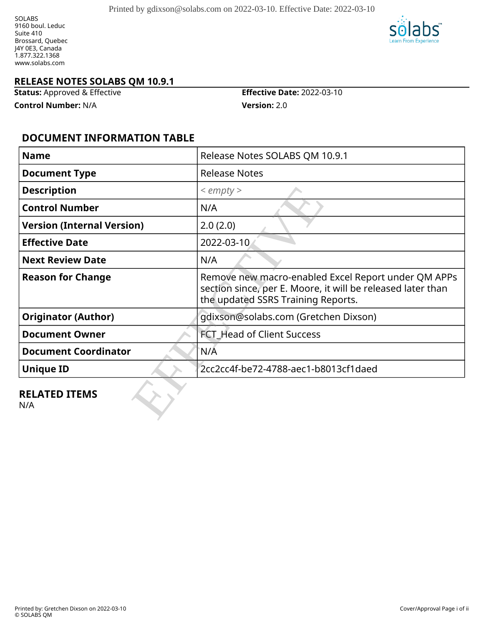SOLABS 9160 boul. Leduc Suite 410 Brossard, Quebec J4Y 0E3, Canada 1.877.322.1368 www.solabs.com



#### **RELEASE NOTES SOLABS QM 10.9.1**

**Status:** Approved & Effective **Effective Date:** 2022-03-10

**Control Number:** N/A **Version:** 2.0

### **DOCUMENT INFORMATION TABLE**

| <b>Name</b>                       | Release Notes SOLABS QM 10.9.1                                                                                                                           |
|-----------------------------------|----------------------------------------------------------------------------------------------------------------------------------------------------------|
| <b>Document Type</b>              | <b>Release Notes</b>                                                                                                                                     |
| <b>Description</b>                | $\le$ empty $>$                                                                                                                                          |
| <b>Control Number</b>             | N/A                                                                                                                                                      |
| <b>Version (Internal Version)</b> | 2.0(2.0)                                                                                                                                                 |
| <b>Effective Date</b>             | 2022-03-10                                                                                                                                               |
| <b>Next Review Date</b>           | N/A                                                                                                                                                      |
| <b>Reason for Change</b>          | Remove new macro-enabled Excel Report under QM APPs<br>section since, per E. Moore, it will be released later than<br>the updated SSRS Training Reports. |
| <b>Originator (Author)</b>        | gdixson@solabs.com (Gretchen Dixson)                                                                                                                     |
| <b>Document Owner</b>             | <b>FCT Head of Client Success</b>                                                                                                                        |
| <b>Document Coordinator</b>       | N/Ā                                                                                                                                                      |
| <b>Unique ID</b>                  | 2cc2cc4f-be72-4788-aec1-b8013cf1daed                                                                                                                     |
| <b>RELATED ITEMS</b><br>N/A       |                                                                                                                                                          |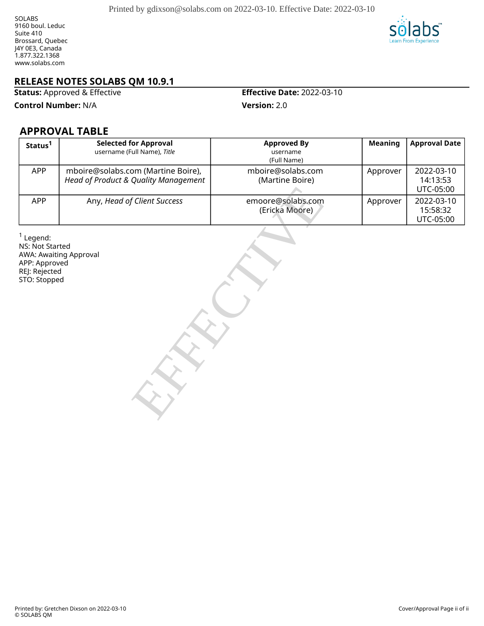

#### **RELEASE NOTES SOLABS QM 10.9.1**

**Status:** Approved & Effective **Effective Date:** 2022-03-10

**Control Number:** N/A **Version:** 2.0

### **APPROVAL TABLE**

| Status <sup>1</sup>                                                              | <b>Selected for Approval</b><br>username (Full Name), Title                | <b>Approved By</b><br>username<br>(Full Name) | <b>Meaning</b> | <b>Approval Date</b>                |
|----------------------------------------------------------------------------------|----------------------------------------------------------------------------|-----------------------------------------------|----------------|-------------------------------------|
| <b>APP</b>                                                                       | mboire@solabs.com (Martine Boire),<br>Head of Product & Quality Management | mboire@solabs.com<br>(Martine Boire)          | Approver       | 2022-03-10<br>14:13:53<br>UTC-05:00 |
| APP                                                                              | Any, Head of Client Success                                                | emoore@solabs.com<br>(Ericka Moore)           | Approver       | 2022-03-10<br>15:58:32<br>UTC-05:00 |
| $1$ Legend:<br>NS: Not Started<br>APP: Approved<br>REJ: Rejected<br>STO: Stopped | AWA: Awaiting Approval                                                     |                                               |                |                                     |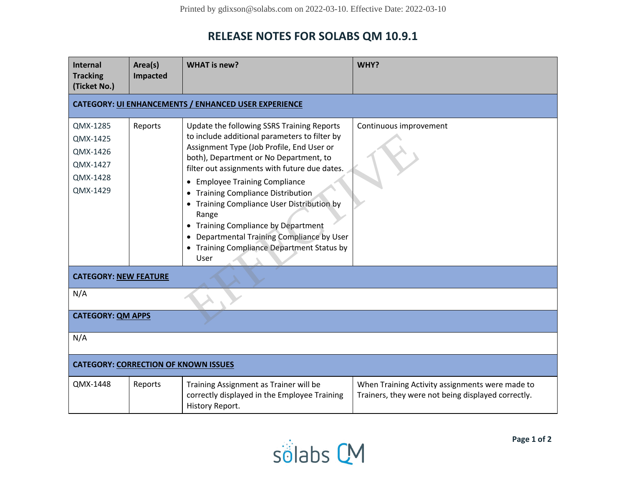# **RELEASE NOTES FOR SOLABS QM 10.9.1**

| Internal<br><b>Tracking</b><br>(Ticket No.)                          | Area(s)<br>Impacted | <b>WHAT is new?</b>                                                                                                                                                                                                                                                                                                                                                                                                                                                                                                    | WHY?                                                                                                  |  |  |  |
|----------------------------------------------------------------------|---------------------|------------------------------------------------------------------------------------------------------------------------------------------------------------------------------------------------------------------------------------------------------------------------------------------------------------------------------------------------------------------------------------------------------------------------------------------------------------------------------------------------------------------------|-------------------------------------------------------------------------------------------------------|--|--|--|
| <b>CATEGORY: UI ENHANCEMENTS / ENHANCED USER EXPERIENCE</b>          |                     |                                                                                                                                                                                                                                                                                                                                                                                                                                                                                                                        |                                                                                                       |  |  |  |
| QMX-1285<br>QMX-1425<br>QMX-1426<br>QMX-1427<br>QMX-1428<br>QMX-1429 | Reports             | Update the following SSRS Training Reports<br>to include additional parameters to filter by<br>Assignment Type (Job Profile, End User or<br>both), Department or No Department, to<br>filter out assignments with future due dates.<br><b>Employee Training Compliance</b><br><b>Training Compliance Distribution</b><br>Training Compliance User Distribution by<br>Range<br>Training Compliance by Department<br>Departmental Training Compliance by User<br><b>Training Compliance Department Status by</b><br>User | Continuous improvement                                                                                |  |  |  |
| <b>CATEGORY: NEW FEATURE</b>                                         |                     |                                                                                                                                                                                                                                                                                                                                                                                                                                                                                                                        |                                                                                                       |  |  |  |
| N/A                                                                  |                     |                                                                                                                                                                                                                                                                                                                                                                                                                                                                                                                        |                                                                                                       |  |  |  |
| <b>CATEGORY: QM APPS</b>                                             |                     |                                                                                                                                                                                                                                                                                                                                                                                                                                                                                                                        |                                                                                                       |  |  |  |
| N/A                                                                  |                     |                                                                                                                                                                                                                                                                                                                                                                                                                                                                                                                        |                                                                                                       |  |  |  |
| <b>CATEGORY: CORRECTION OF KNOWN ISSUES</b>                          |                     |                                                                                                                                                                                                                                                                                                                                                                                                                                                                                                                        |                                                                                                       |  |  |  |
| QMX-1448                                                             | Reports             | Training Assignment as Trainer will be<br>correctly displayed in the Employee Training<br>History Report.                                                                                                                                                                                                                                                                                                                                                                                                              | When Training Activity assignments were made to<br>Trainers, they were not being displayed correctly. |  |  |  |